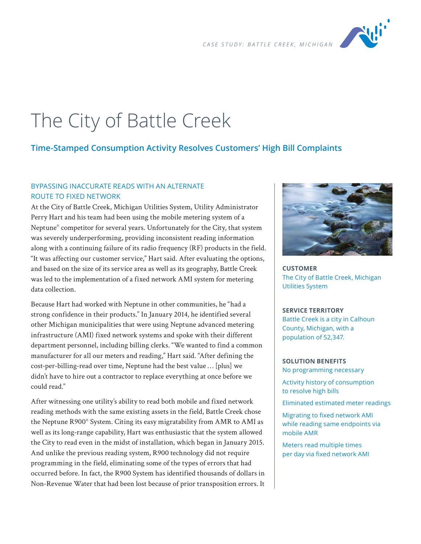

# The City of Battle Creek

## **Time-Stamped Consumption Activity Resolves Customers' High Bill Complaints**

## BYPASSING INACCURATE READS WITH AN ALTERNATE ROUTE TO FIXED NETWORK

At the City of Battle Creek, Michigan Utilities System, Utility Administrator Perry Hart and his team had been using the mobile metering system of a Neptune® competitor for several years. Unfortunately for the City, that system was severely underperforming, providing inconsistent reading information along with a continuing failure of its radio frequency (RF) products in the field. "It was affecting our customer service," Hart said. After evaluating the options, and based on the size of its service area as well as its geography, Battle Creek was led to the implementation of a fixed network AMI system for metering data collection.

Because Hart had worked with Neptune in other communities, he "had a strong confidence in their products." In January 2014, he identified several other Michigan municipalities that were using Neptune advanced metering infrastructure (AMI) fixed network systems and spoke with their different department personnel, including billing clerks. "We wanted to find a common manufacturer for all our meters and reading," Hart said. "After defining the cost-per-billing-read over time, Neptune had the best value … [plus] we didn't have to hire out a contractor to replace everything at once before we could read."

After witnessing one utility's ability to read both mobile and fixed network reading methods with the same existing assets in the field, Battle Creek chose the Neptune R900® System. Citing its easy migratability from AMR to AMI as well as its long-range capability, Hart was enthusiastic that the system allowed the City to read even in the midst of installation, which began in January 2015. And unlike the previous reading system, R900 technology did not require programming in the field, eliminating some of the types of errors that had occurred before. In fact, the R900 System has identified thousands of dollars in Non-Revenue Water that had been lost because of prior transposition errors. It



**CUSTOMER** The City of Battle Creek, Michigan Utilities System

#### **SERVICE TERRITORY**

Battle Creek is a city in Calhoun County, Michigan, with a population of 52,347.

## **SOLUTION BENEFITS**

No programming necessary

Activity history of consumption to resolve high bills

Eliminated estimated meter readings

Migrating to fixed network AMI while reading same endpoints via mobile AMR

Meters read multiple times per day via fixed network AMI